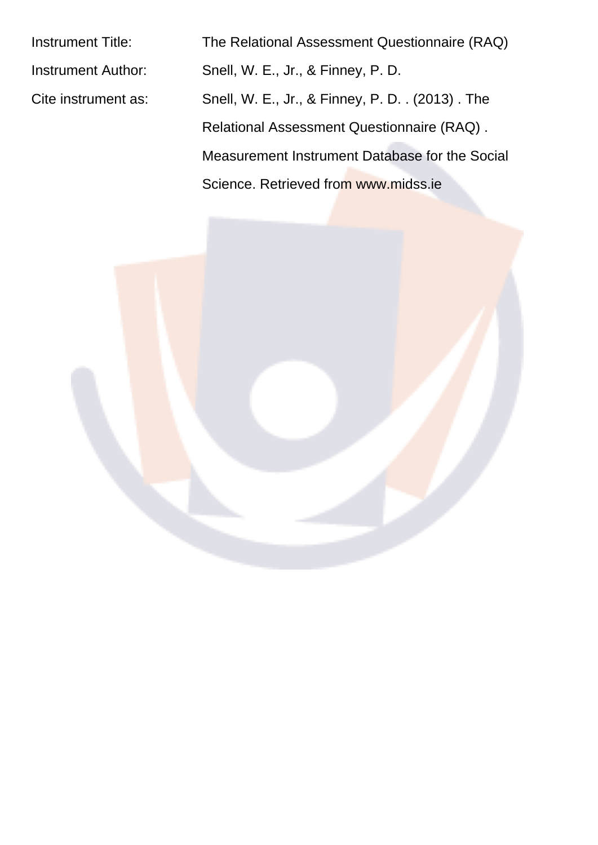Instrument Title: The Relational Assessment Questionnaire (RAQ) Instrument Author: Snell, W. E., Jr., & Finney, P. D. Cite instrument as: Snell, W. E., Jr., & Finney, P. D. . (2013) . The Relational Assessment Questionnaire (RAQ) . Measurement Instrument Database for the Social Science. Retrieved from www.midss.ie

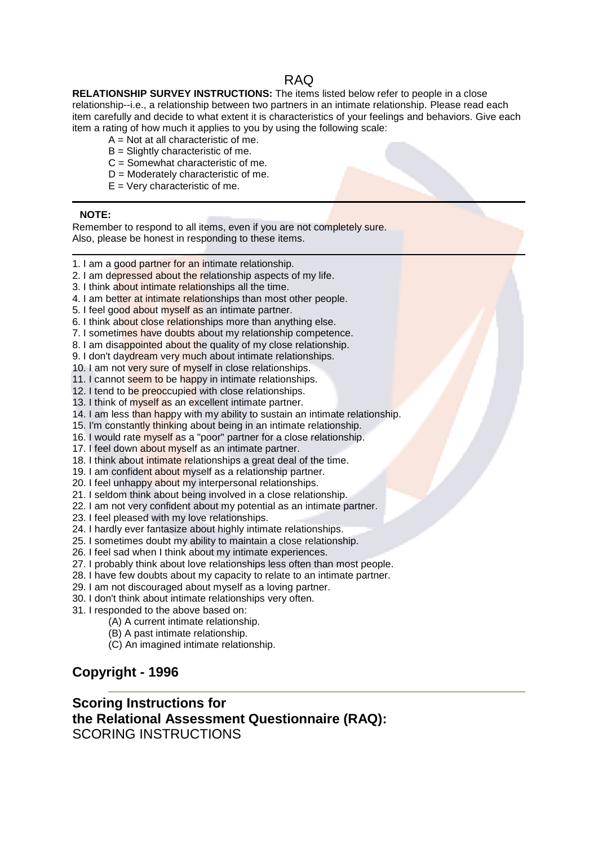### **RAQ**

RELATIONSHIP SURVEY INSTRUCTIONS: The items listed below refer to people in a close relationship--i.e., a relationship between two partners in an intimate relationship. Please read each item carefully and decide to what extent it is characteristics of your feelings and behaviors. Give each item a rating of how much it applies to you by using the following scale:

- $A = Not$  at all characteristic of me.
- $B =$  Slightly characteristic of me.
- $C =$  Somewhat characteristic of me.
- $D =$  Moderately characteristic of me.
- $E = V$ ery characteristic of me.

#### **NOTE:**

Remember to respond to all items, even if you are not completely sure. Also, please be honest in responding to these items.

- 1. I am a good partner for an intimate relationship.
- 2. I am depressed about the relationship aspects of my life.
- 3. I think about intimate relationships all the time.
- 4. I am better at intimate relationships than most other people.
- 5. I feel good about myself as an intimate partner.
- 6. I think about close relationships more than anything else.
- 7. I sometimes have doubts about my relationship competence.
- 8. I am disappointed about the quality of my close relationship.
- 9. I don't daydream very much about intimate relationships.
- 10. I am not very sure of myself in close relationships.
- 11. I cannot seem to be happy in intimate relationships.
- 12. I tend to be preoccupied with close relationships.
- 13. I think of myself as an excellent intimate partner.
- 14. I am less than happy with my ability to sustain an intimate relationship.
- 15. I'm constantly thinking about being in an intimate relationship.
- 16. I would rate myself as a "poor" partner for a close relationship.
- 17. I feel down about myself as an intimate partner.
- 18. I think about intimate relationships a great deal of the time.
- 19. I am confident about myself as a relationship partner.
- 20. I feel unhappy about my interpersonal relationships.
- 21. I seldom think about being involved in a close relationship.
- 22. I am not very confident about my potential as an intimate partner.
- 23. I feel pleased with my love relationships.
- 24. I hardly ever fantasize about highly intimate relationships.
- 25. I sometimes doubt my ability to maintain a close relationship.
- 26. I feel sad when I think about my intimate experiences.
- 27. I probably think about love relationships less often than most people.
- 28. I have few doubts about my capacity to relate to an intimate partner.
- 
- 30. I don't think about intimate relationships very often.
- 31. I responded to the above based on:
	- (A) A current intimate relationship.
	- (B) A past intimate relationship.
	- (C) An imagined intimate relationship.

# Copyright - 1996

## **Scoring Instructions for** the Relational Assessment Questionnaire (RAQ): **SCORING INSTRUCTIONS**

29. I am not discouraged about myself as a loving partner.